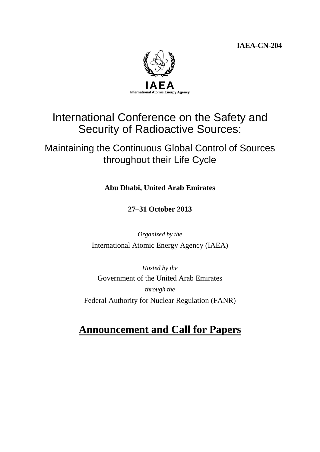**IAEA-CN-204**



# International Conference on the Safety and Security of Radioactive Sources:

# Maintaining the Continuous Global Control of Sources throughout their Life Cycle

**Abu Dhabi, United Arab Emirates**

**27–31 October 2013**

*Organized by the* International Atomic Energy Agency (IAEA)

*Hosted by the* Government of the United Arab Emirates *through the* Federal Authority for Nuclear Regulation (FANR)

# **Announcement and Call for Papers**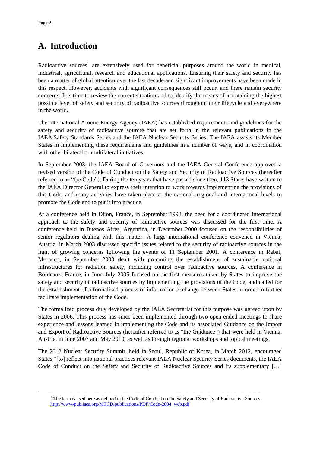## **A. Introduction**

Radioactive sources<sup>1</sup> are extensively used for beneficial purposes around the world in medical, industrial, agricultural, research and educational applications. Ensuring their safety and security has been a matter of global attention over the last decade and significant improvements have been made in this respect. However, accidents with significant consequences still occur, and there remain security concerns. It is time to review the current situation and to identify the means of maintaining the highest possible level of safety and security of radioactive sources throughout their lifecycle and everywhere in the world.

The International Atomic Energy Agency (IAEA) has established requirements and guidelines for the safety and security of radioactive sources that are set forth in the relevant publications in the IAEA Safety Standards Series and the IAEA Nuclear Security Series. The IAEA assists its Member States in implementing these requirements and guidelines in a number of ways, and in coordination with other bilateral or multilateral initiatives.

In September 2003, the IAEA Board of Governors and the IAEA General Conference approved a revised version of the Code of Conduct on the Safety and Security of Radioactive Sources (hereafter referred to as "the Code"). During the ten years that have passed since then, 113 States have written to the IAEA Director General to express their intention to work towards implementing the provisions of this Code, and many activities have taken place at the national, regional and international levels to promote the Code and to put it into practice.

At a conference held in Dijon, France, in September 1998, the need for a coordinated international approach to the safety and security of radioactive sources was discussed for the first time. A conference held in Buenos Aires, Argentina, in December 2000 focused on the responsibilities of senior regulators dealing with this matter. A large international conference convened in Vienna, Austria, in March 2003 discussed specific issues related to the security of radioactive sources in the light of growing concerns following the events of 11 September 2001. A conference in Rabat, Morocco, in September 2003 dealt with promoting the establishment of sustainable national infrastructures for radiation safety, including control over radioactive sources. A conference in Bordeaux, France, in June–July 2005 focused on the first measures taken by States to improve the safety and security of radioactive sources by implementing the provisions of the Code, and called for the establishment of a formalized process of information exchange between States in order to further facilitate implementation of the Code.

The formalized process duly developed by the IAEA Secretariat for this purpose was agreed upon by States in 2006. This process has since been implemented through two open-ended meetings to share experience and lessons learned in implementing the Code and its associated Guidance on the Import and Export of Radioactive Sources (hereafter referred to as "the Guidance") that were held in Vienna, Austria, in June 2007 and May 2010, as well as through regional workshops and topical meetings.

The 2012 Nuclear Security Summit, held in Seoul, Republic of Korea, in March 2012, encouraged States "[to] reflect into national practices relevant IAEA Nuclear Security Series documents, the IAEA Code of Conduct on the Safety and Security of Radioactive Sources and its supplementary […]

\_\_\_\_\_\_\_\_\_\_\_\_\_\_\_\_\_\_\_\_\_\_\_\_\_\_\_\_\_\_\_\_\_\_\_\_\_\_\_\_\_\_\_\_\_\_\_\_\_\_\_\_\_\_\_\_\_\_\_\_\_\_\_\_\_\_\_\_\_\_\_\_\_\_\_

<sup>&</sup>lt;sup>1</sup> The term is used here as defined in the Code of Conduct on the Safety and Security of Radioactive Sources: [http://www-pub.iaea.org/MTCD/publications/PDF/Code-2004\\_web.pdf.](http://www-pub.iaea.org/MTCD/publications/PDF/Code-2004_web.pdf)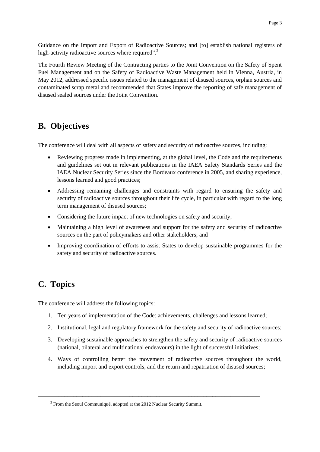Guidance on the Import and Export of Radioactive Sources; and [to] establish national registers of high-activity radioactive sources where required".<sup>2</sup>

The Fourth Review Meeting of the Contracting parties to the Joint Convention on the Safety of Spent Fuel Management and on the Safety of Radioactive Waste Management held in Vienna, Austria, in May 2012, addressed specific issues related to the management of disused sources, orphan sources and contaminated scrap metal and recommended that States improve the reporting of safe management of disused sealed sources under the Joint Convention.

### **B. Objectives**

The conference will deal with all aspects of safety and security of radioactive sources, including:

- Reviewing progress made in implementing, at the global level, the Code and the requirements and guidelines set out in relevant publications in the IAEA Safety Standards Series and the IAEA Nuclear Security Series since the Bordeaux conference in 2005, and sharing experience, lessons learned and good practices;
- Addressing remaining challenges and constraints with regard to ensuring the safety and security of radioactive sources throughout their life cycle, in particular with regard to the long term management of disused sources;
- Considering the future impact of new technologies on safety and security;
- Maintaining a high level of awareness and support for the safety and security of radioactive sources on the part of policymakers and other stakeholders; and
- Improving coordination of efforts to assist States to develop sustainable programmes for the safety and security of radioactive sources.

### **C. Topics**

The conference will address the following topics:

- 1. Ten years of implementation of the Code: achievements, challenges and lessons learned;
- 2. Institutional, legal and regulatory framework for the safety and security of radioactive sources;
- 3. Developing sustainable approaches to strengthen the safety and security of radioactive sources (national, bilateral and multinational endeavours) in the light of successful initiatives;
- 4. Ways of controlling better the movement of radioactive sources throughout the world, including import and export controls, and the return and repatriation of disused sources;

\_\_\_\_\_\_\_\_\_\_\_\_\_\_\_\_\_\_\_\_\_\_\_\_\_\_\_\_\_\_\_\_\_\_\_\_\_\_\_\_\_\_\_\_\_\_\_\_\_\_\_\_\_\_\_\_\_\_\_\_\_\_\_\_\_\_\_\_\_\_\_\_\_\_\_

<sup>&</sup>lt;sup>2</sup> From the Seoul Communiqué, adopted at the 2012 Nuclear Security Summit.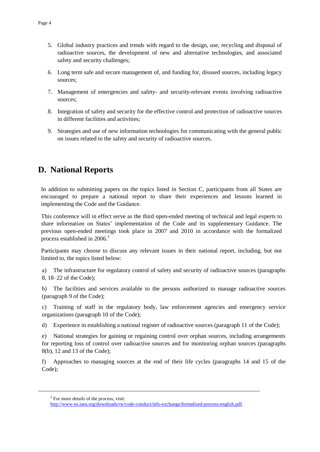- 5. Global industry practices and trends with regard to the design, use, recycling and disposal of radioactive sources, the development of new and alternative technologies, and associated safety and security challenges;
- 6. Long term safe and secure management of, and funding for, disused sources, including legacy sources;
- 7. Management of emergencies and safety- and security-relevant events involving radioactive sources;
- 8. Integration of safety and security for the effective control and protection of radioactive sources in different facilities and activities;
- 9. Strategies and use of new information technologies for communicating with the general public on issues related to the safety and security of radioactive sources.

### **D. National Reports**

In addition to submitting papers on the topics listed in Section C, participants from all States are encouraged to prepare a national report to share their experiences and lessons learned in implementing the Code and the Guidance.

This conference will in effect serve as the third open-ended meeting of technical and legal experts to share information on States' implementation of the Code and its supplementary Guidance. The previous open-ended meetings took place in 2007 and 2010 in accordance with the formalized process established in 2006.<sup>3</sup>

Participants may choose to discuss any relevant issues in their national report, including, but not limited to, the topics listed below:

a) The infrastructure for regulatory control of safety and security of radioactive sources (paragraphs 8, 18–22 of the Code);

b) The facilities and services available to the persons authorized to manage radioactive sources (paragraph 9 of the Code);

c) Training of staff in the regulatory body, law enforcement agencies and emergency service organizations (paragraph 10 of the Code);

d) Experience in establishing a national register of radioactive sources (paragraph 11 of the Code);

e) National strategies for gaining or regaining control over orphan sources, including arrangements for reporting loss of control over radioactive sources and for monitoring orphan sources (paragraphs 8(b), 12 and 13 of the Code);

f) Approaches to managing sources at the end of their life cycles (paragraphs 14 and 15 of the Code);

\_\_\_\_\_\_\_\_\_\_\_\_\_\_\_\_\_\_\_\_\_\_\_\_\_\_\_\_\_\_\_\_\_\_\_\_\_\_\_\_\_\_\_\_\_\_\_\_\_\_\_\_\_\_\_\_\_\_\_\_\_\_\_\_\_\_\_\_\_\_\_\_\_\_\_

<sup>&</sup>lt;sup>3</sup> For more details of the process, visit:

[http://www-ns.iaea.org/downloads/rw/code-conduct/info-exchange/formalized-process-english.pdf.](http://www-ns.iaea.org/downloads/rw/code-conduct/info-exchange/formalized-process-english.pdf)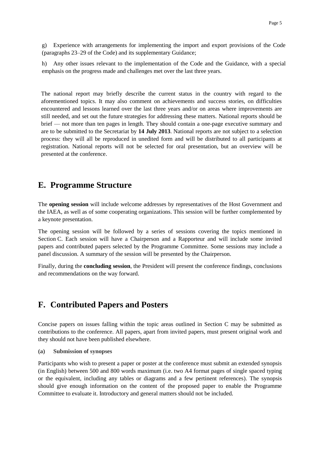g) Experience with arrangements for implementing the import and export provisions of the Code (paragraphs 23–29 of the Code) and its supplementary Guidance;

h) Any other issues relevant to the implementation of the Code and the Guidance, with a special emphasis on the progress made and challenges met over the last three years.

The national report may briefly describe the current status in the country with regard to the aforementioned topics. It may also comment on achievements and success stories, on difficulties encountered and lessons learned over the last three years and/or on areas where improvements are still needed, and set out the future strategies for addressing these matters. National reports should be brief — not more than ten pages in length. They should contain a one-page executive summary and are to be submitted to the Secretariat by **14 July 2013**. National reports are not subject to a selection process: they will all be reproduced in unedited form and will be distributed to all participants at registration. National reports will not be selected for oral presentation, but an overview will be presented at the conference.

#### **E. Programme Structure**

The **opening session** will include welcome addresses by representatives of the Host Government and the IAEA, as well as of some cooperating organizations. This session will be further complemented by a keynote presentation.

The opening session will be followed by a series of sessions covering the topics mentioned in Section C. Each session will have a Chairperson and a Rapporteur and will include some invited papers and contributed papers selected by the Programme Committee. Some sessions may include a panel discussion. A summary of the session will be presented by the Chairperson.

Finally, during the **concluding session**, the President will present the conference findings, conclusions and recommendations on the way forward.

#### **F. Contributed Papers and Posters**

Concise papers on issues falling within the topic areas outlined in Section C may be submitted as contributions to the conference. All papers, apart from invited papers, must present original work and they should not have been published elsewhere.

**(a) Submission of synopses**

Participants who wish to present a paper or poster at the conference must submit an extended synopsis (in English) between 500 and 800 words maximum (i.e. two A4 format pages of single spaced typing or the equivalent, including any tables or diagrams and a few pertinent references). The synopsis should give enough information on the content of the proposed paper to enable the Programme Committee to evaluate it. Introductory and general matters should not be included.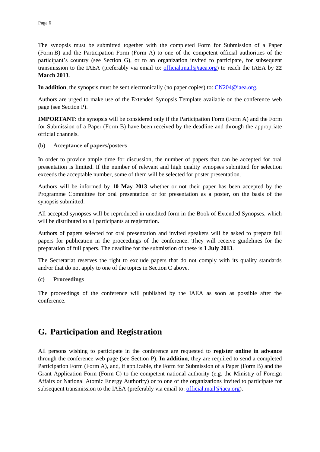The synopsis must be submitted together with the completed Form for Submission of a Paper (Form B) and the Participation Form (Form A) to one of the competent official authorities of the participant's country (see Section G), or to an organization invited to participate, for subsequent transmission to the IAEA (preferably via email to: [official.mail@iaea.org\)](mailto:official.mail@iaea.org) to reach the IAEA by **22 March 2013**.

**In addition**, the synopsis must be sent electronically (no paper copies) to: [CN204@iaea.org.](mailto:CN204@iaea.org)

Authors are urged to make use of the Extended Synopsis Template available on the conference web page (see Section P).

**IMPORTANT**: the synopsis will be considered only if the Participation Form (Form A) and the Form for Submission of a Paper (Form B) have been received by the deadline and through the appropriate official channels.

**(b) Acceptance of papers/posters**

In order to provide ample time for discussion, the number of papers that can be accepted for oral presentation is limited. If the number of relevant and high quality synopses submitted for selection exceeds the acceptable number, some of them will be selected for poster presentation.

Authors will be informed by **10 May 2013** whether or not their paper has been accepted by the Programme Committee for oral presentation or for presentation as a poster, on the basis of the synopsis submitted.

All accepted synopses will be reproduced in unedited form in the Book of Extended Synopses, which will be distributed to all participants at registration.

Authors of papers selected for oral presentation and invited speakers will be asked to prepare full papers for publication in the proceedings of the conference. They will receive guidelines for the preparation of full papers. The deadline for the submission of these is **1 July 2013**.

The Secretariat reserves the right to exclude papers that do not comply with its quality standards and/or that do not apply to one of the topics in Section C above.

#### **(c) Proceedings**

The proceedings of the conference will published by the IAEA as soon as possible after the conference.

### **G. Participation and Registration**

All persons wishing to participate in the conference are requested to **register online in advance** through the conference web page (see Section P). **In addition**, they are required to send a completed Participation Form (Form A), and, if applicable, the Form for Submission of a Paper (Form B) and the Grant Application Form (Form C) to the competent national authority (e.g. the Ministry of Foreign Affairs or National Atomic Energy Authority) or to one of the organizations invited to participate for subsequent transmission to the IAEA (preferably via email to:  $\frac{official.mainloop}{\text{via each}}$ ).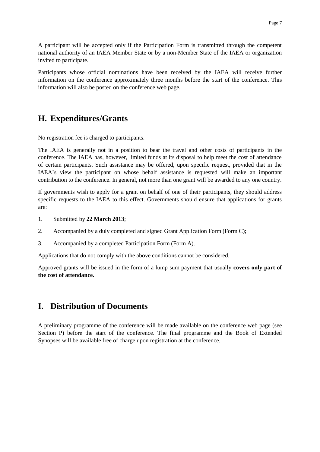A participant will be accepted only if the Participation Form is transmitted through the competent national authority of an IAEA Member State or by a non-Member State of the IAEA or organization invited to participate.

Participants whose official nominations have been received by the IAEA will receive further information on the conference approximately three months before the start of the conference. This information will also be posted on the conference web page.

### **H. Expenditures/Grants**

No registration fee is charged to participants.

The IAEA is generally not in a position to bear the travel and other costs of participants in the conference. The IAEA has, however, limited funds at its disposal to help meet the cost of attendance of certain participants. Such assistance may be offered, upon specific request, provided that in the IAEA's view the participant on whose behalf assistance is requested will make an important contribution to the conference. In general, not more than one grant will be awarded to any one country.

If governments wish to apply for a grant on behalf of one of their participants, they should address specific requests to the IAEA to this effect. Governments should ensure that applications for grants are:

- 1. Submitted by **22 March 2013**;
- 2. Accompanied by a duly completed and signed Grant Application Form (Form C);
- 3. Accompanied by a completed Participation Form (Form A).

Applications that do not comply with the above conditions cannot be considered.

Approved grants will be issued in the form of a lump sum payment that usually **covers only part of the cost of attendance.**

### **I. Distribution of Documents**

A preliminary programme of the conference will be made available on the conference web page (see Section P) before the start of the conference. The final programme and the Book of Extended Synopses will be available free of charge upon registration at the conference.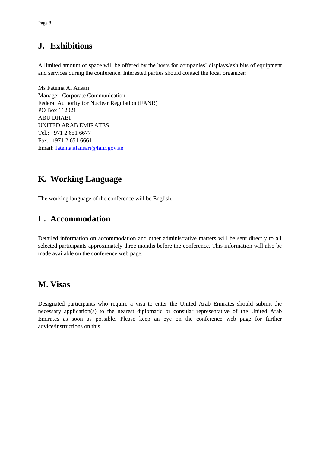## **J. Exhibitions**

A limited amount of space will be offered by the hosts for companies' displays/exhibits of equipment and services during the conference. Interested parties should contact the local organizer:

Ms Fatema Al Ansari Manager, Corporate Communication Federal Authority for Nuclear Regulation (FANR) PO Box 112021 ABU DHABI UNITED ARAB EMIRATES Tel.: +971 2 651 6677 Fax.: +971 2 651 6661 Email: [fatema.alansari@fanr.gov.ae](mailto:fatema.alansari@fanr.gov.ae)

## **K. Working Language**

The working language of the conference will be English.

## **L. Accommodation**

Detailed information on accommodation and other administrative matters will be sent directly to all selected participants approximately three months before the conference. This information will also be made available on the conference web page.

### **M. Visas**

Designated participants who require a visa to enter the United Arab Emirates should submit the necessary application(s) to the nearest diplomatic or consular representative of the United Arab Emirates as soon as possible. Please keep an eye on the conference web page for further advice/instructions on this.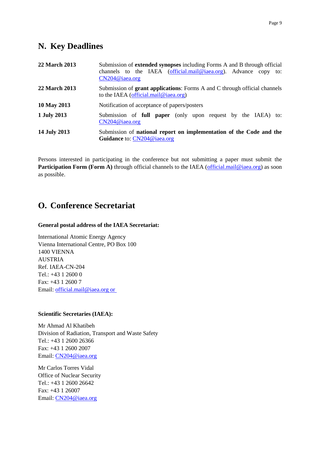### **N. Key Deadlines**

| <b>22 March 2013</b> | Submission of <b>extended synopses</b> including Forms A and B through official                                           |
|----------------------|---------------------------------------------------------------------------------------------------------------------------|
|                      | channels to the IAEA (official.mail@iaea.org). Advance copy to:                                                           |
|                      | CN204@iaea.org                                                                                                            |
| 22 March 2013        | Submission of <b>grant applications</b> : Forms A and C through official channels<br>to the IAEA (official.mail@iaea.org) |
| 10 May 2013          | Notification of acceptance of papers/posters                                                                              |
| 1 July 2013          | Submission of <b>full paper</b> (only upon request by the IAEA) to:<br>CN204@iaea.org                                     |
| 14 July 2013         | Submission of national report on implementation of the Code and the<br>Guidance to: CN204@iaea.org                        |

Persons interested in participating in the conference but not submitting a paper must submit the **Participation Form (Form A)** through official channels to the IAEA [\(official.mail@iaea.org\)](mailto:official.mail@iaea.org) as soon as possible.

### **O. Conference Secretariat**

#### **General postal address of the IAEA Secretariat:**

International Atomic Energy Agency Vienna International Centre, PO Box 100 1400 VIENNA AUSTRIA Ref. IAEA-CN-204 Tel.: +43 1 2600 0 Fax: +43 1 2600 7 Email: [official.mail@iaea.org](mailto:official.mail@iaea.org) or

#### **Scientific Secretaries (IAEA):**

Mr Ahmad Al Khatibeh Division of Radiation, Transport and Waste Safety Tel.: +43 1 2600 26366 Fax: +43 1 2600 2007 Email: [CN204@iaea.org](mailto:CN204@iaea.org)

Mr Carlos Torres Vidal Office of Nuclear Security Tel.: +43 1 2600 26642 Fax: +43 1 26007 Email: [CN204@iaea.org](mailto:CN204@iaea.org)